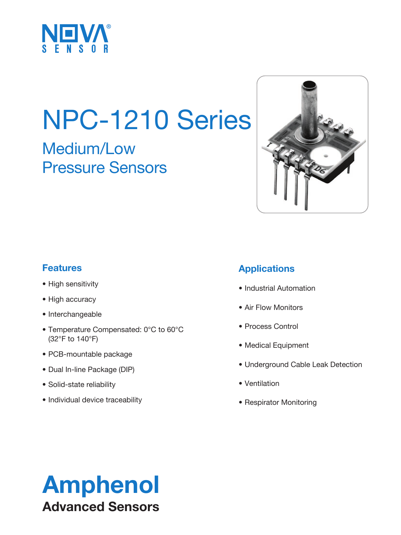

# NPC-1210 Series

# Medium/Low Pressure Sensors



### **Features**

- High sensitivity
- High accuracy
- Interchangeable
- Temperature Compensated: 0°C to 60°C (32°F to 140°F)
- PCB-mountable package
- Dual In-line Package (DIP)
- Solid-state reliability
- Individual device traceability

### **Applications**

- Industrial Automation
- Air Flow Monitors
- Process Control
- Medical Equipment
- Underground Cable Leak Detection
- Ventilation
- Respirator Monitoring

# Amphenol Advanced Sensors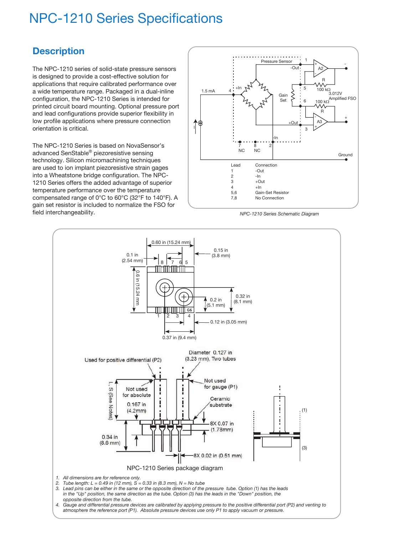# NPC-1210 Series Specifications

#### **Description**

The NPC-1210 series of solid-state pressure sensors is designed to provide a cost-effective solution for applications that require calibrated performance over a wide temperature range. Packaged in a dual-inline configuration, the NPC-1210 Series is intended for printed circuit board mounting. Optional pressure port and lead configurations provide superior flexibility in low profile applications where pressure connection orientation is critical.

The NPC-1210 Series is based on NovaSensor's advanced SenStable® piezoresistive sensing technology. Silicon micromachining techniques are used to ion implant piezoresistive strain gages into a Wheatstone bridge configuration. The NPC-1210 Series offers the added advantage of superior temperature performance over the temperature compensated range of 0°C to 60°C (32°F to 140°F). A gain set resistor is included to normalize the FSO for field interchangeability.



*NPC-1210 Series Schematic Diagram*

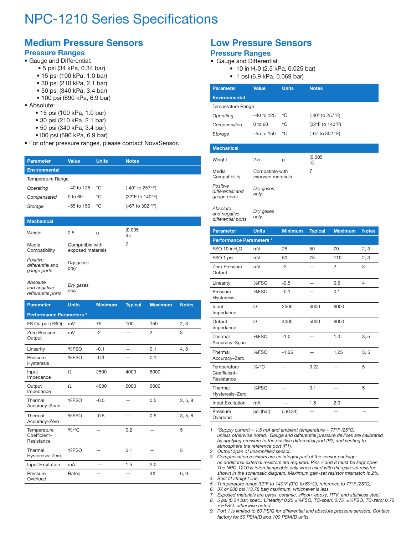# NPC-1210 Series Specifications

## **Medium Pressure Sensors**

#### **Pressure Ranges**

- Gauge and Differential:
	- 5 psi (34 kPa, 0.34 bar)
	- 15 psi (100 kPa, 1.0 bar)
	- 30 psi (210 kPa, 2.1 bar)
	- 50 psi (340 kPa, 3.4 bar)
	- 100 psi (690 kPa, 6.9 bar)
- Absolute:
	- 15 psi (100 kPa, 1.0 bar)
	- 30 psi (210 kPa, 2.1 bar)
	- 50 psi (340 kPa, 3.4 bar)
	- •100 psi (690 kPa, 6.9 bar)
- For other pressure ranges, please contact NovaSensor.

| <b>Parameter</b>     | Value              | <b>Units</b> | <b>Notes</b>                                     |  |
|----------------------|--------------------|--------------|--------------------------------------------------|--|
| <b>Environmental</b> |                    |              |                                                  |  |
| Temperature Range    |                    |              |                                                  |  |
| Operating            | $-40$ to 125       | °C           | (-40° to 257°F)                                  |  |
| Compensated          | $0 \text{ to } 60$ | °C           | (32°F to 140°F)                                  |  |
| Storage              | $-55$ to 150       | ℃            | $(-67 \text{ to } 302 \text{ }^{\circ}\text{F})$ |  |
|                      |                    |              |                                                  |  |

#### **Mechanical**

| Weight                                      | 2.5                                  | g | (0.005)<br>$ b\rangle$ |
|---------------------------------------------|--------------------------------------|---|------------------------|
| Media<br>Compatibility                      | Compatible with<br>exposed materials |   | 7                      |
| Positive<br>differential and<br>gauge ports | Dry gases<br>only                    |   |                        |
| Absolute<br>and nonative                    | Dry gases                            |   |                        |

*and negative differential ports only*

| <b>Parameter</b>                          | <b>Units</b> | <b>Minimum</b> | <b>Typical</b> | <b>Maximum</b> | <b>Notes</b> |  |
|-------------------------------------------|--------------|----------------|----------------|----------------|--------------|--|
| <b>Performance Parameters *</b>           |              |                |                |                |              |  |
| FS Output (FSO)                           | mV           | 75             | 100            | 150            | 2, 3         |  |
| Zero Pressure<br>Output                   | mV           | $-2$           |                | 2              | 3            |  |
| Linearity                                 | %FSO         | $-0.1$         |                | 0.1            | 4,8          |  |
| Pressure<br><b>Hysteresis</b>             | %FSO         | $-0.1$         |                | 0.1            |              |  |
| Input<br>Impedance                        | Ω            | 2500           | 4000           | 6000           |              |  |
| Output<br>Impedance                       | Ω            | 4000           | 5000           | 6000           |              |  |
| Thermal<br>Accuracy-Span                  | %FSO         | $-0.5$         |                | 0.5            | 3, 5, 8      |  |
| Thermal<br>Accuracy-Zero                  | %FSO         | $-0.5$         |                | 0.5            | 3, 5, 8      |  |
| Temperature<br>Coefficient-<br>Resistance | $%$ /°C      |                | 0.2            |                | 5            |  |
| Thermal<br>Hysteresis-Zero                | %FSO         |                | 0.1            |                | 5            |  |
| Input Excitation                          | mA           |                | 1.5            | 2.0            |              |  |
| Pressure<br>Overload                      | Rated        |                |                | 3X             | 6, 9         |  |

#### **Low Pressure Sensors Pressure Ranges**

#### • Gauge and Differential:

- 10 in  $H<sub>2</sub>0$  (2.5 kPa, 0.025 bar)
- 1 psi (6.9 kPa, 0.069 bar)

| <b>Parameter</b>     | <b>Value</b>    | <b>Units</b> | <b>Notes</b>    |
|----------------------|-----------------|--------------|-----------------|
| <b>Environmental</b> |                 |              |                 |
| Temperature Range    |                 |              |                 |
| Operating            | $-40$ to 125    | °C           | (-40° to 257°F) |
| Compensated          | $0$ to $60$     | °C           | (32°F to 140°F) |
| Storage              | $-55$ to 150    | °C           | (-67 to 302 °F) |
|                      |                 |              |                 |
| <b>Mechanical</b>    |                 |              |                 |
| Weight               | 2.5             | g            | (0.005)<br>lb)  |
| Media                | Compatible with |              | 7               |

| Compatibility                               | exposed materials |
|---------------------------------------------|-------------------|
| Positive<br>differential and<br>gauge ports | Dry gases<br>only |
| Absolute<br>and negative<br>$\cdots$        | Dry gases<br>onlv |

*differential ports*

| <b>Parameter</b>                          | <b>Units</b> | <b>Minimum</b> | <b>Typical</b> | <b>Maximum</b> | <b>Notes</b>   |  |
|-------------------------------------------|--------------|----------------|----------------|----------------|----------------|--|
| <b>Performance Parameters *</b>           |              |                |                |                |                |  |
| FSO 10 inH <sub>2</sub> O                 | mV           | 25             | 50             | 70             | 2, 3           |  |
| FSO 1 psi                                 | mV           | 50             | 75             | 110            | 2, 3           |  |
| Zero Pressure<br>Output                   | mV           | $-2$           |                | $\overline{2}$ | 3              |  |
| Linearity                                 | %FSO         | $-0.5$         |                | 0.5            | $\overline{4}$ |  |
| Pressure<br><b>Hysteresis</b>             | %FSO         | $-0.1$         |                | 0.1            |                |  |
| Input<br>Impedance                        | Ω            | 2500           | 4000           | 6000           |                |  |
| Output<br>Impedance                       | Ω            | 4000           | 5000           | 6000           |                |  |
| Thermal<br>Accuracy-Span                  | %FSO         | $-1.0$         |                | 1.0            | 3, 5           |  |
| Thermal<br>Accuracy-Zero                  | %FSO         | $-1.25$        |                | 1.25           | 3, 5           |  |
| Temperature<br>Coefficient-<br>Resistance | $\%$ /°C     |                | 0.22           |                | 5              |  |
| Thermal<br>Hysteresis-Zero                | %FSO         |                | 0.1            |                | 5              |  |
| Input Excitation                          | mA           |                | 1.5            | 2.0            |                |  |
| Pressure<br>Overload                      | psi (bar)    | 5(0.34)        |                |                |                |  |

*1. \*Supply current = 1.5 mA and ambient temperature = 77°F (25°C), unless otherwise noted. Gauge and differential pressure devices are calibrated by applying pressure to the positive differential port (P2) and venting to atmosphere the reference port (P1).* 

*2. Output span of unamplified sensor.*

*3. Compensation resistors are an integral part of the sensor package; no additional external resistors are required. Pins 7 and 8 must be kept open. The NPC-1210 is interchangeable only when used with the gain set resistor shown in the schematic diagram. Maximum gain-set resistor mismatch is 2%.*

*4. Best fit straight line.*

*5. Temperature range 32°F to 140°F (0°C to 60°C), reference to 77°F (25°C).*

- *6. 3X or 200 psi (13.78 bar) maximum, whichever is less.*
- *7. Exposed materials are pyrex, ceramic, silicon, epoxy, RTV, and stainless steel. 8. 5 psi (0.34 bar) spec.: Linearity: 0.25 ±%FSO, TC-span: 0.75 ±%FSO, TC-zero: 0.75*
- *±%FSO. otherwise noted. 9. Port 1 is limited to 60 PSIG for differential and absolute pressure sensors. Contact*
- *factory for 50 PSIA/D and 100 PSIA/D units.*